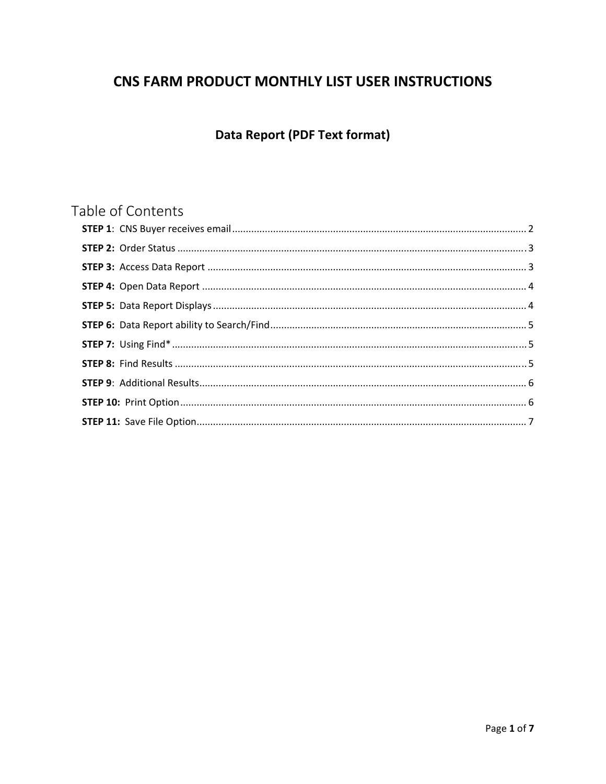# CNS FARM PRODUCT MONTHLY LIST USER INSTRUCTIONS

# **Data Report (PDF Text format)**

# Table of Contents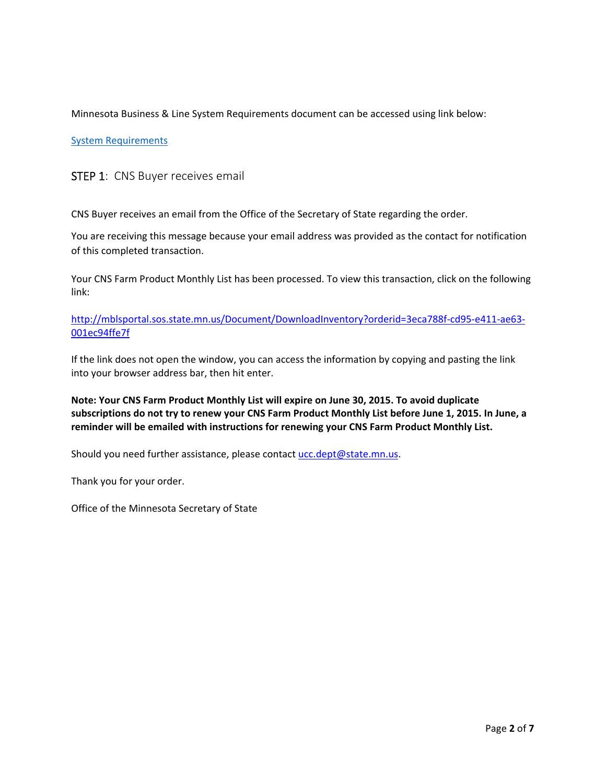Minnesota Business & Line System Requirements document can be accessed using link below:

#### System Requirements

#### STEP 1: CNS Buyer receives email

CNS Buyer receives an email from the Office of the Secretary of State regarding the order.

You are receiving this message because your email address was provided as the contact for notification of this completed transaction.

Your CNS Farm Product Monthly List has been processed. To view this transaction, click on the following link:

http://mblsportal.sos.state.mn.us/Document/DownloadInventory?orderid=3eca788f-cd95-e411-ae63-001ec94ffe7f

If the link does not open the window, you can access the information by copying and pasting the link into your browser address bar, then hit enter.

**Note: Your CNS Farm Product Monthly List will expire on June 30, 2015. To avoid duplicate** subscriptions do not try to renew your CNS Farm Product Monthly List before June 1, 2015. In June, a **reminder will be emailed with instructions for renewing your CNS Farm Product Monthly List.** 

Should you need further assistance, please contact ucc.dept@state.mn.us.

Thank you for your order.

Office of the Minnesota Secretary of State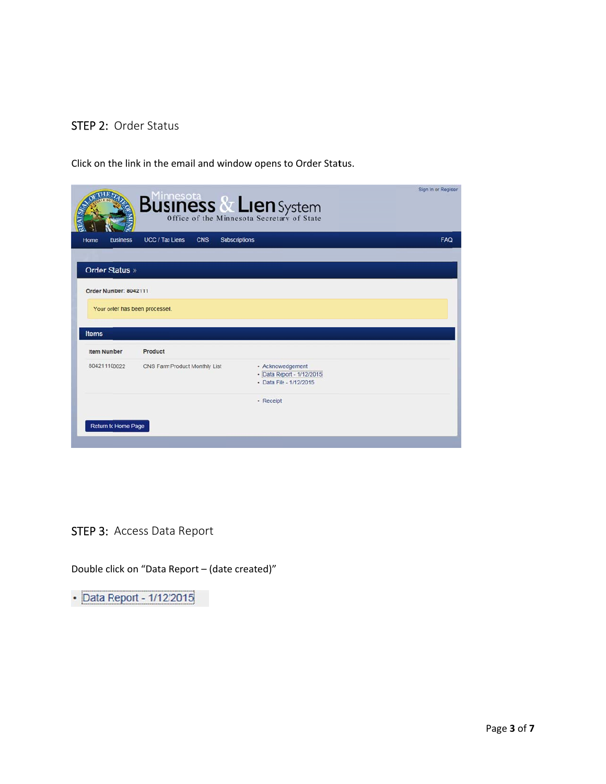## STEP 2: Order Status

Click on the link in the email and window opens to Order Status.

|                         | <b>Business &amp; Lien</b> System                     |                                                                           | Sign In or Register |
|-------------------------|-------------------------------------------------------|---------------------------------------------------------------------------|---------------------|
| Home<br><b>Business</b> | UCC / Tax Liens<br><b>CNS</b><br><b>Subscriptions</b> |                                                                           | <b>FAQ</b>          |
|                         |                                                       |                                                                           |                     |
| Order Status »          |                                                       |                                                                           |                     |
| Order Number: 8042111   |                                                       |                                                                           |                     |
|                         | Your order has been processed.                        |                                                                           |                     |
|                         |                                                       |                                                                           |                     |
|                         |                                                       |                                                                           |                     |
| <b>Items</b>            |                                                       |                                                                           |                     |
| <b>Item Number</b>      | Product                                               |                                                                           |                     |
| 804211100022            | CNS Farm Product Monthly List                         | · Acknowledgement<br>· Data Report - 1/12/2015<br>- Data File - 1/12/2015 |                     |
|                         |                                                       | · Receipt                                                                 |                     |
|                         |                                                       |                                                                           |                     |

STEP 3: Access Data Report

Double click on "Data Report – (date created)"

• Data Report - 1/12/2015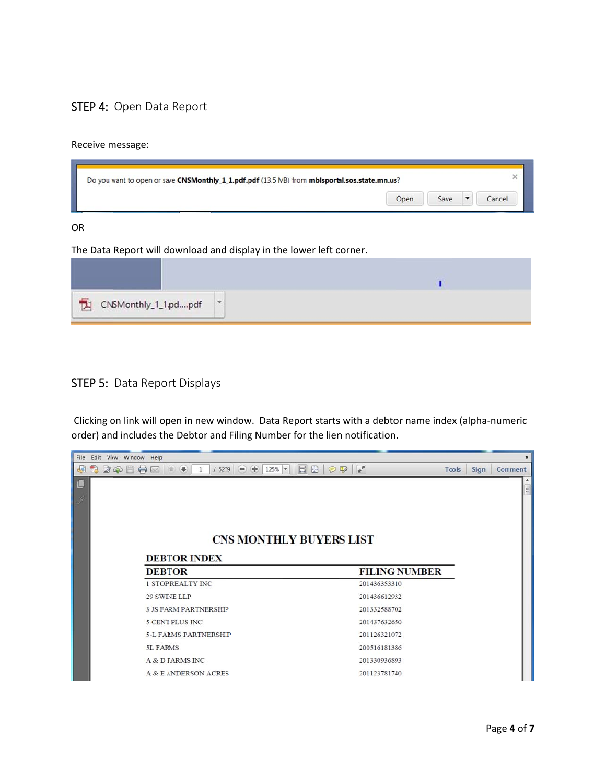## STEP 4: Open Data Report

#### Receive m message:

| Do you want to open or save CNSMonthly_1_1.pdf.pdf (13.5 MB) from mblsportal.sos.state.mn.us? |      |      |       |
|-----------------------------------------------------------------------------------------------|------|------|-------|
|                                                                                               | Open | Save | ancel |

#### OR

The Data Report will d ownload and display in th e lower left c corner.

| CNSMonthly_1_1.pdpdf | $\mathcal{P}$ |  |
|----------------------|---------------|--|

### STEP 5: Data Report Displays

Clicking on link will open in new window. Data Report starts with a debtor name index (alpha-numeric order) and includes the Debtor and Filing Number for the lien notification.

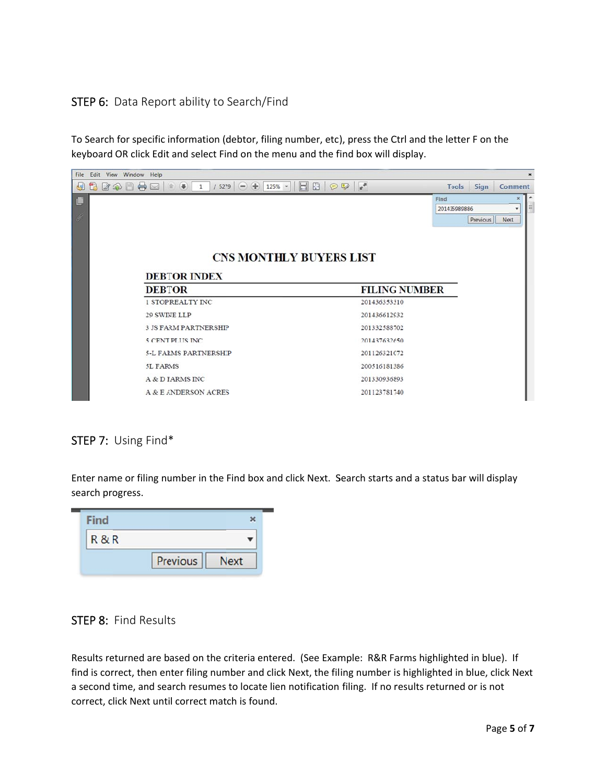## STEP 6: Data Report ability to Search/Find

To Search for specific information (debtor, filing number, etc), press the Ctrl and the letter F on the keyboard OR click Edit and select Find on the menu and the find box will display.



# STEP 7: Using Find\*

Enter name or filing number in the Find box and click Next. Search starts and a status bar will display search progress.

| R & R |          |             |
|-------|----------|-------------|
|       | Previous | <b>Next</b> |

## STEP 8: Find Results

Results returned are based on the criteria entered. (See Example: R&R Farms highlighted in blue). If find is correct, then enter filing number and click Next, the filing number is highlighted in blue, click Next a second time, and search resumes to locate lien notification filing. If no results returned or is not correct, click Next until correct match is found.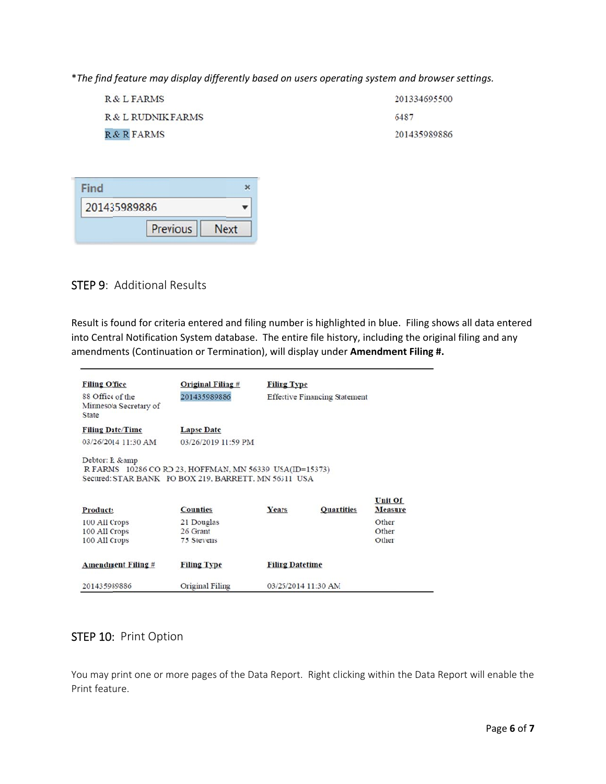\*The find feature may display differently based on users operating system and browser settings.

| R & L FARMS        | 201334695500 |
|--------------------|--------------|
| R & L RUDNIK FARMS | 6487         |
| R & R FARMS        | 201435989886 |

| 201435989886 |                 |      |
|--------------|-----------------|------|
|              | <b>Previous</b> | Jext |

## STEP 9: Additional Results

Result is found for criteria entered and filing number is highlighted in blue. Filing shows all data entered into Central Notification System database. The entire file history, including the original filing and any amendments (Continuation or Termination), will display under Amendment Filing #.

| <b>Filing Office</b>                                    | Original Filing $#$ | <b>Filing Type</b>     |                                      |                |
|---------------------------------------------------------|---------------------|------------------------|--------------------------------------|----------------|
| 88 Office of the<br>Minnesota Secretary of<br>State     | 201435989886        |                        | <b>Effective Financing Statement</b> |                |
| <b>Filing Date/Time</b>                                 | <b>Lapse Date</b>   |                        |                                      |                |
| 03/26/2014 11:30 AM                                     | 03/26/2019 11:59 PM |                        |                                      |                |
| R FARMS 10286 CO RD 23, HOFFMAN, MN 56339 USA(ID=15373) |                     |                        |                                      |                |
| Secured: STAR BANK PO BOX 219, BARRETT, MN 56311 USA    |                     |                        |                                      | <b>Unit Of</b> |
| <b>Products</b>                                         | <b>Counties</b>     | Years                  | <b>Quantities</b>                    | <b>Measure</b> |
| 100 All Crops                                           | 21 Douglas          |                        |                                      | Other          |
| 100 All Crops                                           | 26 Grant            |                        |                                      | Other          |
| 100 All Crops                                           | 75 Stevens          |                        |                                      | Other          |
| <b>Amendment Filing #</b>                               | <b>Filing Type</b>  | <b>Filing Datetime</b> |                                      |                |

## STEP 10: Print Option

You may print one or more pages of the Data Report. Right clicking within the Data Report will enable the Print feature.